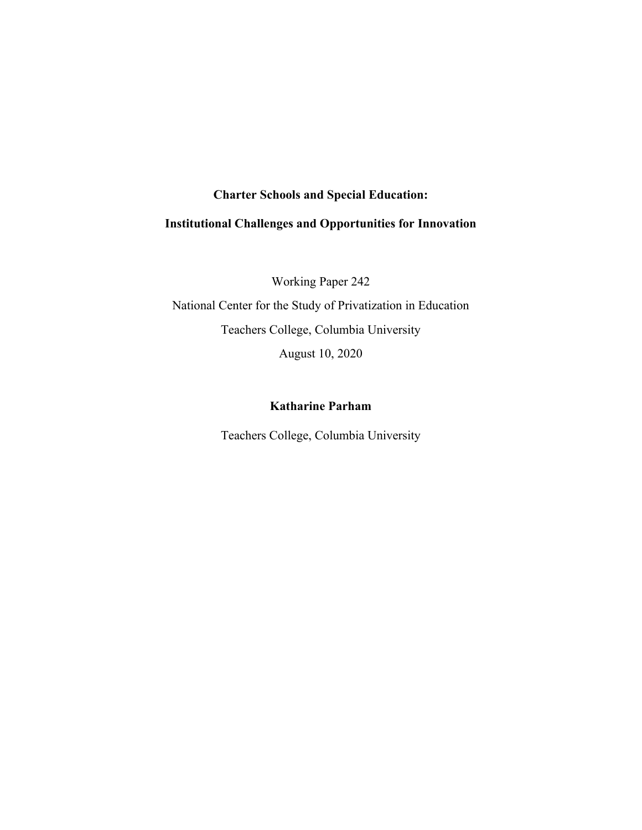# **Charter Schools and Special Education:**

# **Institutional Challenges and Opportunities for Innovation**

Working Paper 242 National Center for the Study of Privatization in Education Teachers College, Columbia University

August 10, 2020

# **Katharine Parham**

Teachers College, Columbia University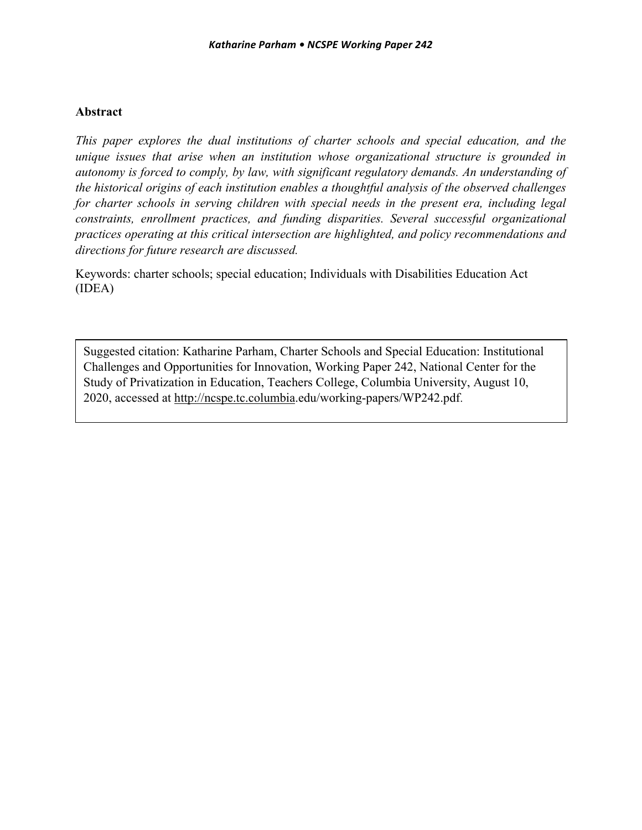# **Abstract**

*This paper explores the dual institutions of charter schools and special education, and the unique issues that arise when an institution whose organizational structure is grounded in autonomy is forced to comply, by law, with significant regulatory demands. An understanding of the historical origins of each institution enables a thoughtful analysis of the observed challenges for charter schools in serving children with special needs in the present era, including legal constraints, enrollment practices, and funding disparities. Several successful organizational practices operating at this critical intersection are highlighted, and policy recommendations and directions for future research are discussed.* 

Keywords: charter schools; special education; Individuals with Disabilities Education Act (IDEA)

Suggested citation: Katharine Parham, Charter Schools and Special Education: Institutional Challenges and Opportunities for Innovation, Working Paper 242, National Center for the Study of Privatization in Education, Teachers College, Columbia University, August 10, 2020, accessed at http://ncspe.tc.columbia.edu/working-papers/WP242.pdf.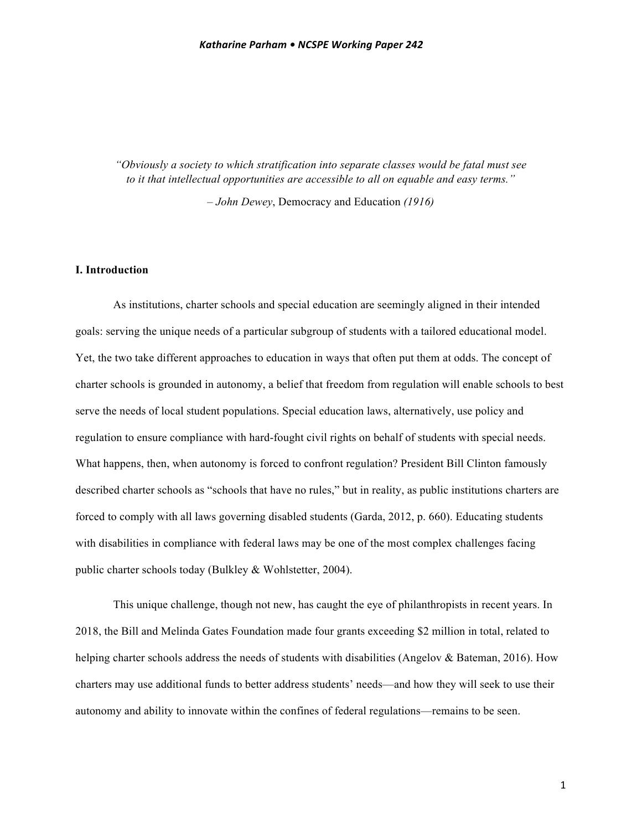*"Obviously a society to which stratification into separate classes would be fatal must see to it that intellectual opportunities are accessible to all on equable and easy terms."* 

*– John Dewey*, Democracy and Education *(1916)*

# **I. Introduction**

As institutions, charter schools and special education are seemingly aligned in their intended goals: serving the unique needs of a particular subgroup of students with a tailored educational model. Yet, the two take different approaches to education in ways that often put them at odds. The concept of charter schools is grounded in autonomy, a belief that freedom from regulation will enable schools to best serve the needs of local student populations. Special education laws, alternatively, use policy and regulation to ensure compliance with hard-fought civil rights on behalf of students with special needs. What happens, then, when autonomy is forced to confront regulation? President Bill Clinton famously described charter schools as "schools that have no rules," but in reality, as public institutions charters are forced to comply with all laws governing disabled students (Garda, 2012, p. 660). Educating students with disabilities in compliance with federal laws may be one of the most complex challenges facing public charter schools today (Bulkley & Wohlstetter, 2004).

This unique challenge, though not new, has caught the eye of philanthropists in recent years. In 2018, the Bill and Melinda Gates Foundation made four grants exceeding \$2 million in total, related to helping charter schools address the needs of students with disabilities (Angelov & Bateman, 2016). How charters may use additional funds to better address students' needs—and how they will seek to use their autonomy and ability to innovate within the confines of federal regulations—remains to be seen.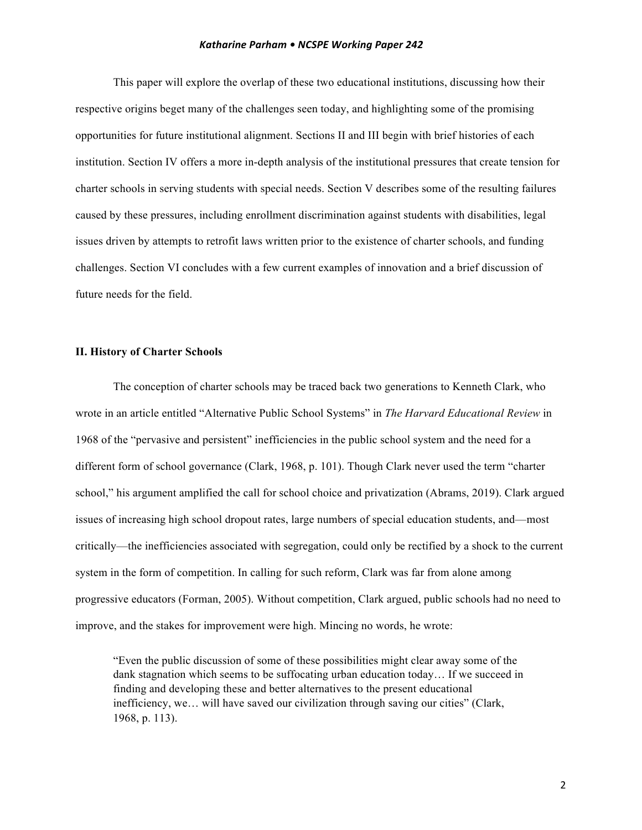This paper will explore the overlap of these two educational institutions, discussing how their respective origins beget many of the challenges seen today, and highlighting some of the promising opportunities for future institutional alignment. Sections II and III begin with brief histories of each institution. Section IV offers a more in-depth analysis of the institutional pressures that create tension for charter schools in serving students with special needs. Section V describes some of the resulting failures caused by these pressures, including enrollment discrimination against students with disabilities, legal issues driven by attempts to retrofit laws written prior to the existence of charter schools, and funding challenges. Section VI concludes with a few current examples of innovation and a brief discussion of future needs for the field.

# **II. History of Charter Schools**

The conception of charter schools may be traced back two generations to Kenneth Clark, who wrote in an article entitled "Alternative Public School Systems" in *The Harvard Educational Review* in 1968 of the "pervasive and persistent" inefficiencies in the public school system and the need for a different form of school governance (Clark, 1968, p. 101). Though Clark never used the term "charter school," his argument amplified the call for school choice and privatization (Abrams, 2019). Clark argued issues of increasing high school dropout rates, large numbers of special education students, and—most critically—the inefficiencies associated with segregation, could only be rectified by a shock to the current system in the form of competition. In calling for such reform, Clark was far from alone among progressive educators (Forman, 2005). Without competition, Clark argued, public schools had no need to improve, and the stakes for improvement were high. Mincing no words, he wrote:

"Even the public discussion of some of these possibilities might clear away some of the dank stagnation which seems to be suffocating urban education today… If we succeed in finding and developing these and better alternatives to the present educational inefficiency, we… will have saved our civilization through saving our cities" (Clark, 1968, p. 113).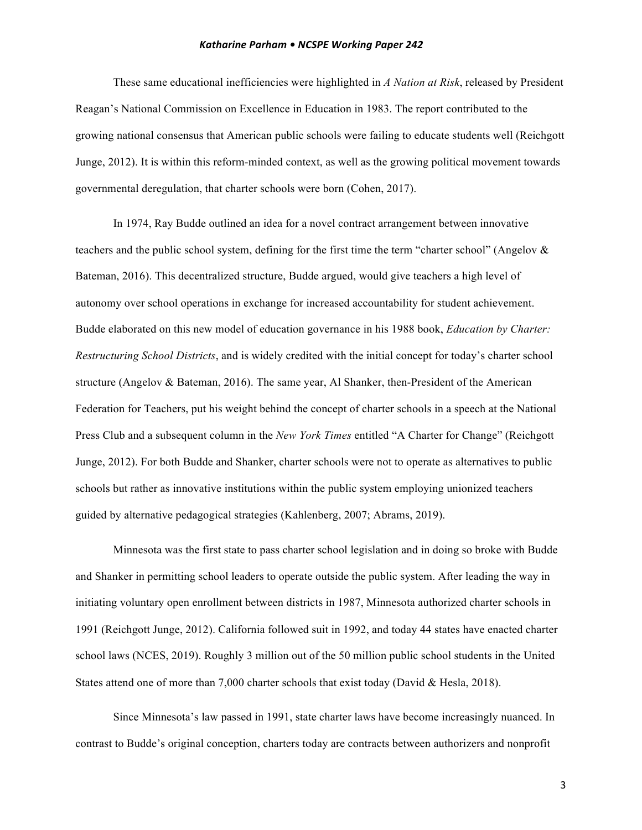These same educational inefficiencies were highlighted in *A Nation at Risk*, released by President Reagan's National Commission on Excellence in Education in 1983. The report contributed to the growing national consensus that American public schools were failing to educate students well (Reichgott Junge, 2012). It is within this reform-minded context, as well as the growing political movement towards governmental deregulation, that charter schools were born (Cohen, 2017).

In 1974, Ray Budde outlined an idea for a novel contract arrangement between innovative teachers and the public school system, defining for the first time the term "charter school" (Angelov & Bateman, 2016). This decentralized structure, Budde argued, would give teachers a high level of autonomy over school operations in exchange for increased accountability for student achievement. Budde elaborated on this new model of education governance in his 1988 book, *Education by Charter: Restructuring School Districts*, and is widely credited with the initial concept for today's charter school structure (Angelov & Bateman, 2016). The same year, Al Shanker, then-President of the American Federation for Teachers, put his weight behind the concept of charter schools in a speech at the National Press Club and a subsequent column in the *New York Times* entitled "A Charter for Change" (Reichgott Junge, 2012). For both Budde and Shanker, charter schools were not to operate as alternatives to public schools but rather as innovative institutions within the public system employing unionized teachers guided by alternative pedagogical strategies (Kahlenberg, 2007; Abrams, 2019).

Minnesota was the first state to pass charter school legislation and in doing so broke with Budde and Shanker in permitting school leaders to operate outside the public system. After leading the way in initiating voluntary open enrollment between districts in 1987, Minnesota authorized charter schools in 1991 (Reichgott Junge, 2012). California followed suit in 1992, and today 44 states have enacted charter school laws (NCES, 2019). Roughly 3 million out of the 50 million public school students in the United States attend one of more than 7,000 charter schools that exist today (David & Hesla, 2018).

Since Minnesota's law passed in 1991, state charter laws have become increasingly nuanced. In contrast to Budde's original conception, charters today are contracts between authorizers and nonprofit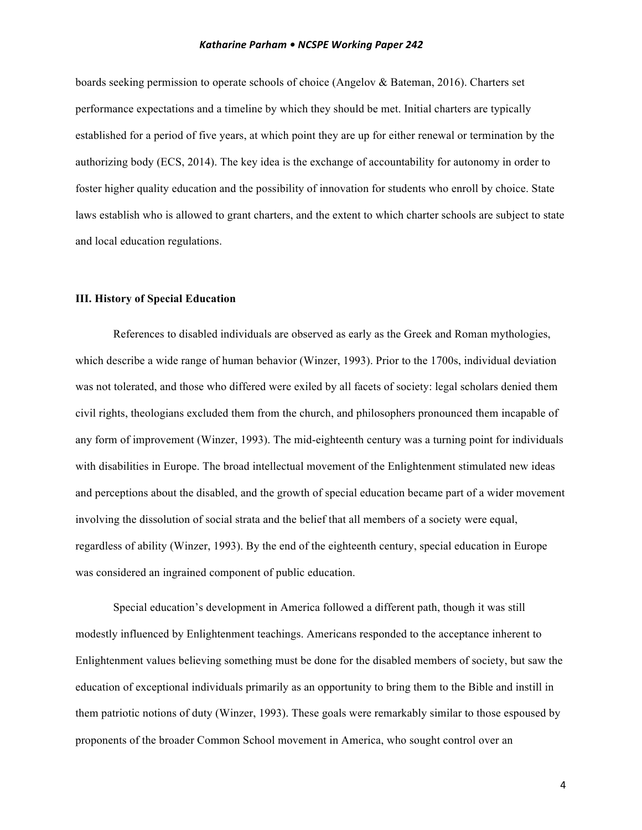boards seeking permission to operate schools of choice (Angelov & Bateman, 2016). Charters set performance expectations and a timeline by which they should be met. Initial charters are typically established for a period of five years, at which point they are up for either renewal or termination by the authorizing body (ECS, 2014). The key idea is the exchange of accountability for autonomy in order to foster higher quality education and the possibility of innovation for students who enroll by choice. State laws establish who is allowed to grant charters, and the extent to which charter schools are subject to state and local education regulations.

# **III. History of Special Education**

References to disabled individuals are observed as early as the Greek and Roman mythologies, which describe a wide range of human behavior (Winzer, 1993). Prior to the 1700s, individual deviation was not tolerated, and those who differed were exiled by all facets of society: legal scholars denied them civil rights, theologians excluded them from the church, and philosophers pronounced them incapable of any form of improvement (Winzer, 1993). The mid-eighteenth century was a turning point for individuals with disabilities in Europe. The broad intellectual movement of the Enlightenment stimulated new ideas and perceptions about the disabled, and the growth of special education became part of a wider movement involving the dissolution of social strata and the belief that all members of a society were equal, regardless of ability (Winzer, 1993). By the end of the eighteenth century, special education in Europe was considered an ingrained component of public education.

Special education's development in America followed a different path, though it was still modestly influenced by Enlightenment teachings. Americans responded to the acceptance inherent to Enlightenment values believing something must be done for the disabled members of society, but saw the education of exceptional individuals primarily as an opportunity to bring them to the Bible and instill in them patriotic notions of duty (Winzer, 1993). These goals were remarkably similar to those espoused by proponents of the broader Common School movement in America, who sought control over an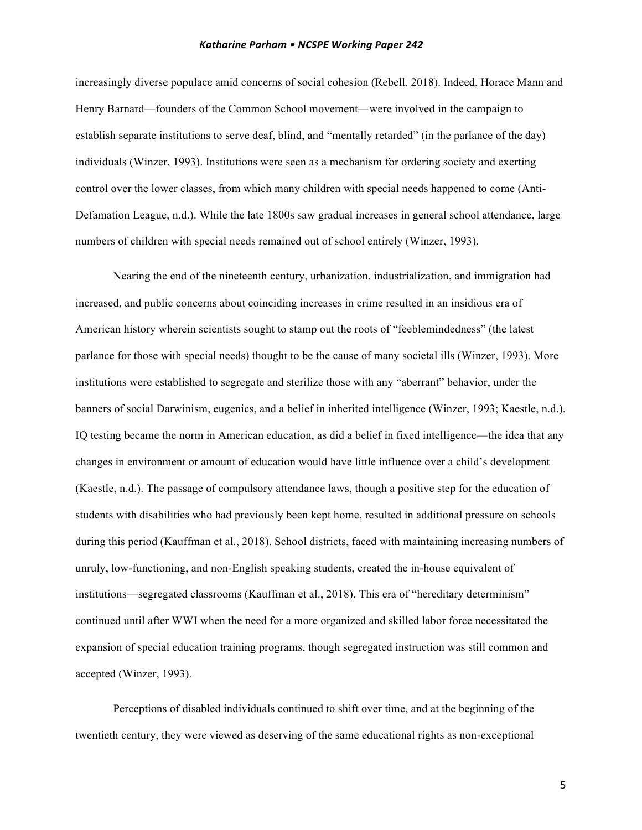increasingly diverse populace amid concerns of social cohesion (Rebell, 2018). Indeed, Horace Mann and Henry Barnard—founders of the Common School movement—were involved in the campaign to establish separate institutions to serve deaf, blind, and "mentally retarded" (in the parlance of the day) individuals (Winzer, 1993). Institutions were seen as a mechanism for ordering society and exerting control over the lower classes, from which many children with special needs happened to come (Anti-Defamation League, n.d.). While the late 1800s saw gradual increases in general school attendance, large numbers of children with special needs remained out of school entirely (Winzer, 1993).

Nearing the end of the nineteenth century, urbanization, industrialization, and immigration had increased, and public concerns about coinciding increases in crime resulted in an insidious era of American history wherein scientists sought to stamp out the roots of "feeblemindedness" (the latest parlance for those with special needs) thought to be the cause of many societal ills (Winzer, 1993). More institutions were established to segregate and sterilize those with any "aberrant" behavior, under the banners of social Darwinism, eugenics, and a belief in inherited intelligence (Winzer, 1993; Kaestle, n.d.). IQ testing became the norm in American education, as did a belief in fixed intelligence—the idea that any changes in environment or amount of education would have little influence over a child's development (Kaestle, n.d.). The passage of compulsory attendance laws, though a positive step for the education of students with disabilities who had previously been kept home, resulted in additional pressure on schools during this period (Kauffman et al., 2018). School districts, faced with maintaining increasing numbers of unruly, low-functioning, and non-English speaking students, created the in-house equivalent of institutions—segregated classrooms (Kauffman et al., 2018). This era of "hereditary determinism" continued until after WWI when the need for a more organized and skilled labor force necessitated the expansion of special education training programs, though segregated instruction was still common and accepted (Winzer, 1993).

Perceptions of disabled individuals continued to shift over time, and at the beginning of the twentieth century, they were viewed as deserving of the same educational rights as non-exceptional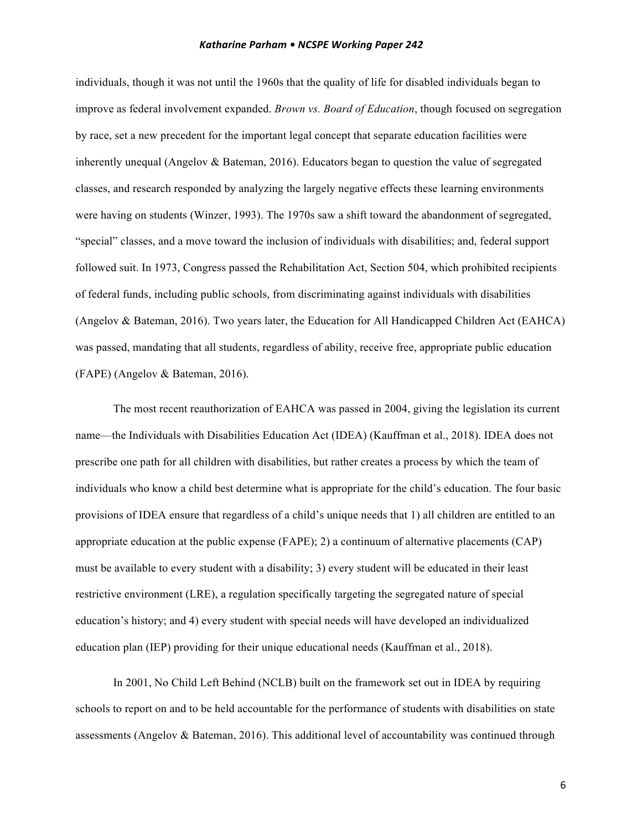individuals, though it was not until the 1960s that the quality of life for disabled individuals began to improve as federal involvement expanded. *Brown vs. Board of Education*, though focused on segregation by race, set a new precedent for the important legal concept that separate education facilities were inherently unequal (Angelov & Bateman, 2016). Educators began to question the value of segregated classes, and research responded by analyzing the largely negative effects these learning environments were having on students (Winzer, 1993). The 1970s saw a shift toward the abandonment of segregated, "special" classes, and a move toward the inclusion of individuals with disabilities; and, federal support followed suit. In 1973, Congress passed the Rehabilitation Act, Section 504, which prohibited recipients of federal funds, including public schools, from discriminating against individuals with disabilities (Angelov & Bateman, 2016). Two years later, the Education for All Handicapped Children Act (EAHCA) was passed, mandating that all students, regardless of ability, receive free, appropriate public education (FAPE) (Angelov & Bateman, 2016).

The most recent reauthorization of EAHCA was passed in 2004, giving the legislation its current name—the Individuals with Disabilities Education Act (IDEA) (Kauffman et al., 2018). IDEA does not prescribe one path for all children with disabilities, but rather creates a process by which the team of individuals who know a child best determine what is appropriate for the child's education. The four basic provisions of IDEA ensure that regardless of a child's unique needs that 1) all children are entitled to an appropriate education at the public expense (FAPE); 2) a continuum of alternative placements (CAP) must be available to every student with a disability; 3) every student will be educated in their least restrictive environment (LRE), a regulation specifically targeting the segregated nature of special education's history; and 4) every student with special needs will have developed an individualized education plan (IEP) providing for their unique educational needs (Kauffman et al., 2018).

In 2001, No Child Left Behind (NCLB) built on the framework set out in IDEA by requiring schools to report on and to be held accountable for the performance of students with disabilities on state assessments (Angelov & Bateman, 2016). This additional level of accountability was continued through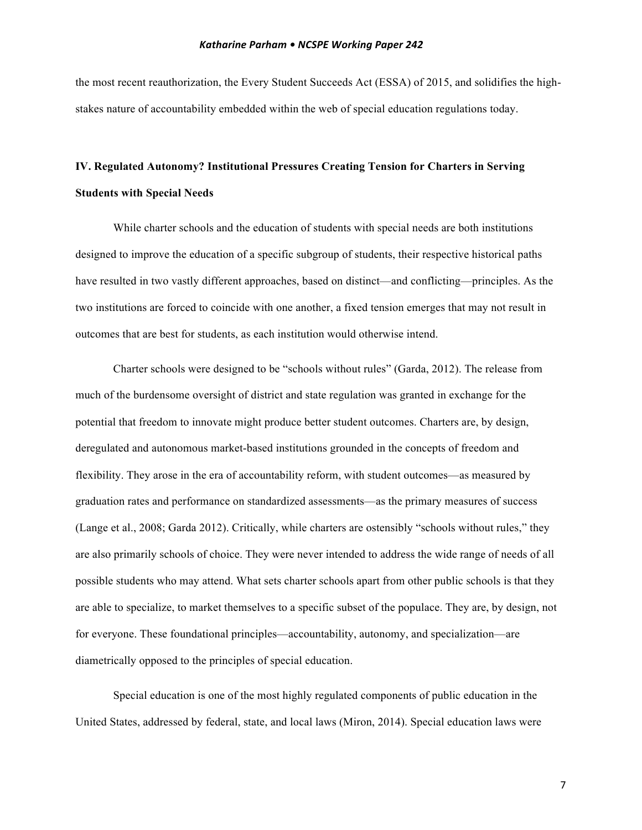the most recent reauthorization, the Every Student Succeeds Act (ESSA) of 2015, and solidifies the highstakes nature of accountability embedded within the web of special education regulations today.

# **IV. Regulated Autonomy? Institutional Pressures Creating Tension for Charters in Serving Students with Special Needs**

While charter schools and the education of students with special needs are both institutions designed to improve the education of a specific subgroup of students, their respective historical paths have resulted in two vastly different approaches, based on distinct—and conflicting—principles. As the two institutions are forced to coincide with one another, a fixed tension emerges that may not result in outcomes that are best for students, as each institution would otherwise intend.

Charter schools were designed to be "schools without rules" (Garda, 2012). The release from much of the burdensome oversight of district and state regulation was granted in exchange for the potential that freedom to innovate might produce better student outcomes. Charters are, by design, deregulated and autonomous market-based institutions grounded in the concepts of freedom and flexibility. They arose in the era of accountability reform, with student outcomes—as measured by graduation rates and performance on standardized assessments—as the primary measures of success (Lange et al., 2008; Garda 2012). Critically, while charters are ostensibly "schools without rules," they are also primarily schools of choice. They were never intended to address the wide range of needs of all possible students who may attend. What sets charter schools apart from other public schools is that they are able to specialize, to market themselves to a specific subset of the populace. They are, by design, not for everyone. These foundational principles—accountability, autonomy, and specialization—are diametrically opposed to the principles of special education.

Special education is one of the most highly regulated components of public education in the United States, addressed by federal, state, and local laws (Miron, 2014). Special education laws were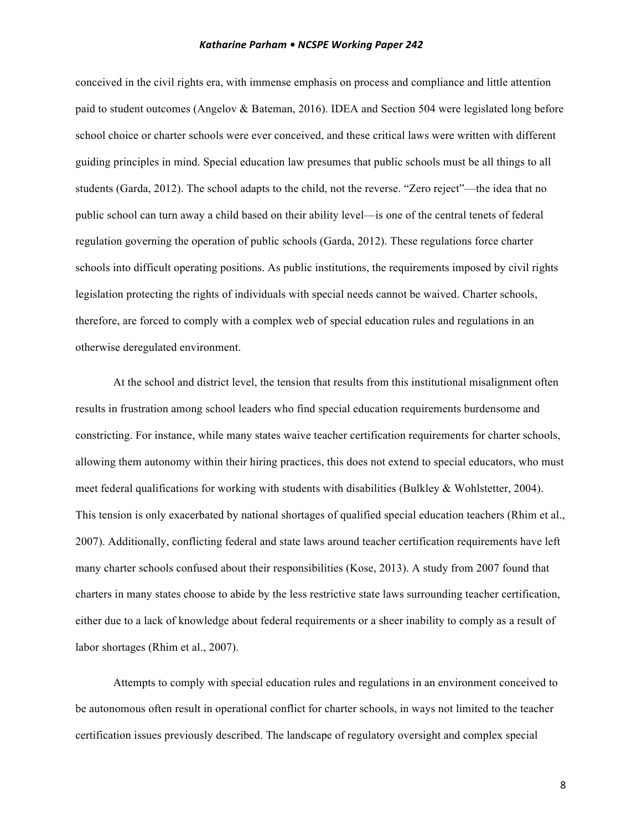conceived in the civil rights era, with immense emphasis on process and compliance and little attention paid to student outcomes (Angelov & Bateman, 2016). IDEA and Section 504 were legislated long before school choice or charter schools were ever conceived, and these critical laws were written with different guiding principles in mind. Special education law presumes that public schools must be all things to all students (Garda, 2012). The school adapts to the child, not the reverse. "Zero reject"—the idea that no public school can turn away a child based on their ability level—is one of the central tenets of federal regulation governing the operation of public schools (Garda, 2012). These regulations force charter schools into difficult operating positions. As public institutions, the requirements imposed by civil rights legislation protecting the rights of individuals with special needs cannot be waived. Charter schools, therefore, are forced to comply with a complex web of special education rules and regulations in an otherwise deregulated environment.

At the school and district level, the tension that results from this institutional misalignment often results in frustration among school leaders who find special education requirements burdensome and constricting. For instance, while many states waive teacher certification requirements for charter schools, allowing them autonomy within their hiring practices, this does not extend to special educators, who must meet federal qualifications for working with students with disabilities (Bulkley & Wohlstetter, 2004). This tension is only exacerbated by national shortages of qualified special education teachers (Rhim et al., 2007). Additionally, conflicting federal and state laws around teacher certification requirements have left many charter schools confused about their responsibilities (Kose, 2013). A study from 2007 found that charters in many states choose to abide by the less restrictive state laws surrounding teacher certification, either due to a lack of knowledge about federal requirements or a sheer inability to comply as a result of labor shortages (Rhim et al., 2007).

Attempts to comply with special education rules and regulations in an environment conceived to be autonomous often result in operational conflict for charter schools, in ways not limited to the teacher certification issues previously described. The landscape of regulatory oversight and complex special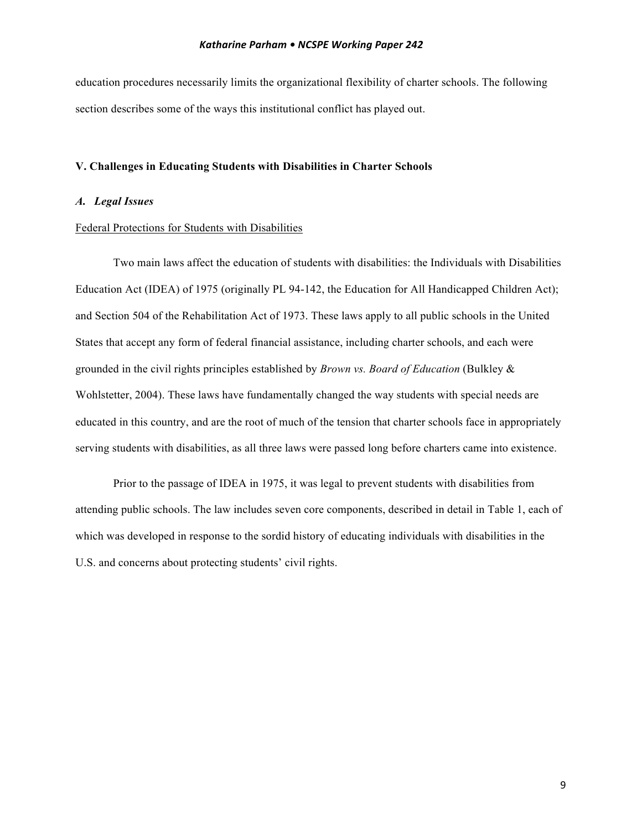education procedures necessarily limits the organizational flexibility of charter schools. The following section describes some of the ways this institutional conflict has played out.

# **V. Challenges in Educating Students with Disabilities in Charter Schools**

# *A. Legal Issues*

# Federal Protections for Students with Disabilities

Two main laws affect the education of students with disabilities: the Individuals with Disabilities Education Act (IDEA) of 1975 (originally PL 94-142, the Education for All Handicapped Children Act); and Section 504 of the Rehabilitation Act of 1973. These laws apply to all public schools in the United States that accept any form of federal financial assistance, including charter schools, and each were grounded in the civil rights principles established by *Brown vs. Board of Education* (Bulkley & Wohlstetter, 2004). These laws have fundamentally changed the way students with special needs are educated in this country, and are the root of much of the tension that charter schools face in appropriately serving students with disabilities, as all three laws were passed long before charters came into existence.

Prior to the passage of IDEA in 1975, it was legal to prevent students with disabilities from attending public schools. The law includes seven core components, described in detail in Table 1, each of which was developed in response to the sordid history of educating individuals with disabilities in the U.S. and concerns about protecting students' civil rights.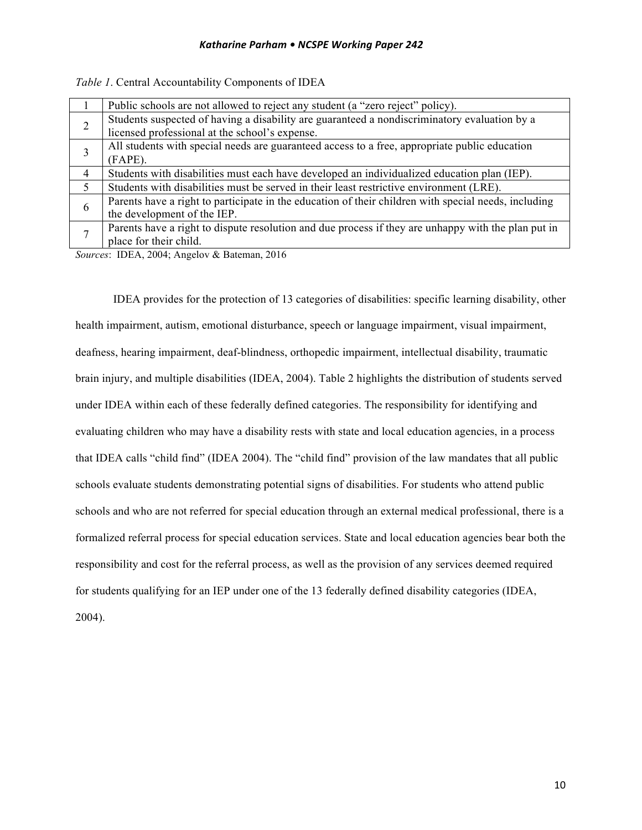|   | Public schools are not allowed to reject any student (a "zero reject" policy).                       |
|---|------------------------------------------------------------------------------------------------------|
| 2 | Students suspected of having a disability are guaranteed a nondiscriminatory evaluation by a         |
|   | licensed professional at the school's expense.                                                       |
|   | All students with special needs are guaranteed access to a free, appropriate public education        |
|   | $(FAPE)$ .                                                                                           |
| 4 | Students with disabilities must each have developed an individualized education plan (IEP).          |
| 5 | Students with disabilities must be served in their least restrictive environment (LRE).              |
| 6 | Parents have a right to participate in the education of their children with special needs, including |
|   | the development of the IEP.                                                                          |
|   | Parents have a right to dispute resolution and due process if they are unhappy with the plan put in  |
|   | place for their child.                                                                               |

*Table 1*. Central Accountability Components of IDEA

*Sources*: IDEA, 2004; Angelov & Bateman, 2016

IDEA provides for the protection of 13 categories of disabilities: specific learning disability, other health impairment, autism, emotional disturbance, speech or language impairment, visual impairment, deafness, hearing impairment, deaf-blindness, orthopedic impairment, intellectual disability, traumatic brain injury, and multiple disabilities (IDEA, 2004). Table 2 highlights the distribution of students served under IDEA within each of these federally defined categories. The responsibility for identifying and evaluating children who may have a disability rests with state and local education agencies, in a process that IDEA calls "child find" (IDEA 2004). The "child find" provision of the law mandates that all public schools evaluate students demonstrating potential signs of disabilities. For students who attend public schools and who are not referred for special education through an external medical professional, there is a formalized referral process for special education services. State and local education agencies bear both the responsibility and cost for the referral process, as well as the provision of any services deemed required for students qualifying for an IEP under one of the 13 federally defined disability categories (IDEA, 2004).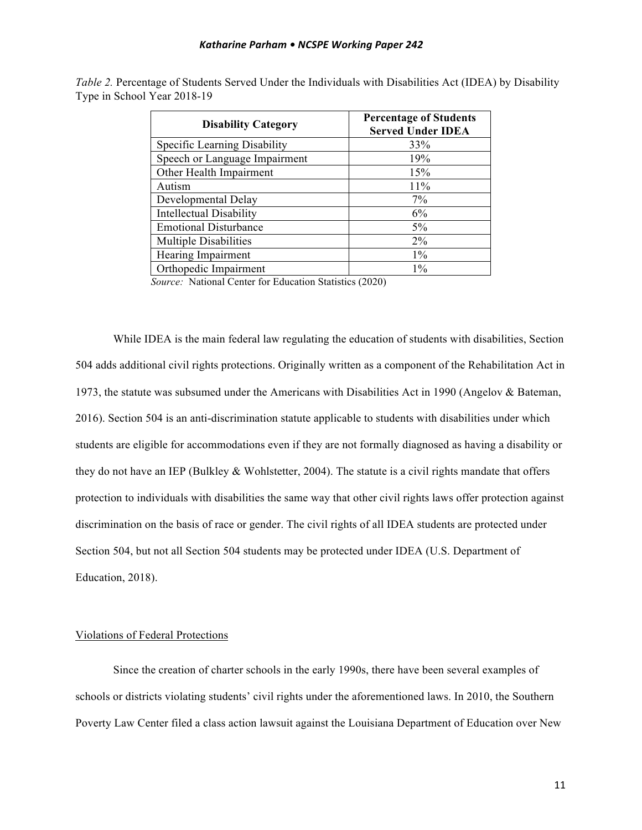| <b>Disability Category</b>     | <b>Percentage of Students</b><br><b>Served Under IDEA</b> |
|--------------------------------|-----------------------------------------------------------|
| Specific Learning Disability   | 33%                                                       |
| Speech or Language Impairment  | 19%                                                       |
| Other Health Impairment        | 15%                                                       |
| Autism                         | 11%                                                       |
| Developmental Delay            | 7%                                                        |
| <b>Intellectual Disability</b> | 6%                                                        |
| <b>Emotional Disturbance</b>   | 5%                                                        |
| <b>Multiple Disabilities</b>   | $2\%$                                                     |
| Hearing Impairment             | $1\%$                                                     |
| Orthopedic Impairment          | $1\%$                                                     |

*Table 2.* Percentage of Students Served Under the Individuals with Disabilities Act (IDEA) by Disability Type in School Year 2018-19

*Source:* National Center for Education Statistics (2020)

While IDEA is the main federal law regulating the education of students with disabilities, Section 504 adds additional civil rights protections. Originally written as a component of the Rehabilitation Act in 1973, the statute was subsumed under the Americans with Disabilities Act in 1990 (Angelov & Bateman, 2016). Section 504 is an anti-discrimination statute applicable to students with disabilities under which students are eligible for accommodations even if they are not formally diagnosed as having a disability or they do not have an IEP (Bulkley & Wohlstetter, 2004). The statute is a civil rights mandate that offers protection to individuals with disabilities the same way that other civil rights laws offer protection against discrimination on the basis of race or gender. The civil rights of all IDEA students are protected under Section 504, but not all Section 504 students may be protected under IDEA (U.S. Department of Education, 2018).

# Violations of Federal Protections

Since the creation of charter schools in the early 1990s, there have been several examples of schools or districts violating students' civil rights under the aforementioned laws. In 2010, the Southern Poverty Law Center filed a class action lawsuit against the Louisiana Department of Education over New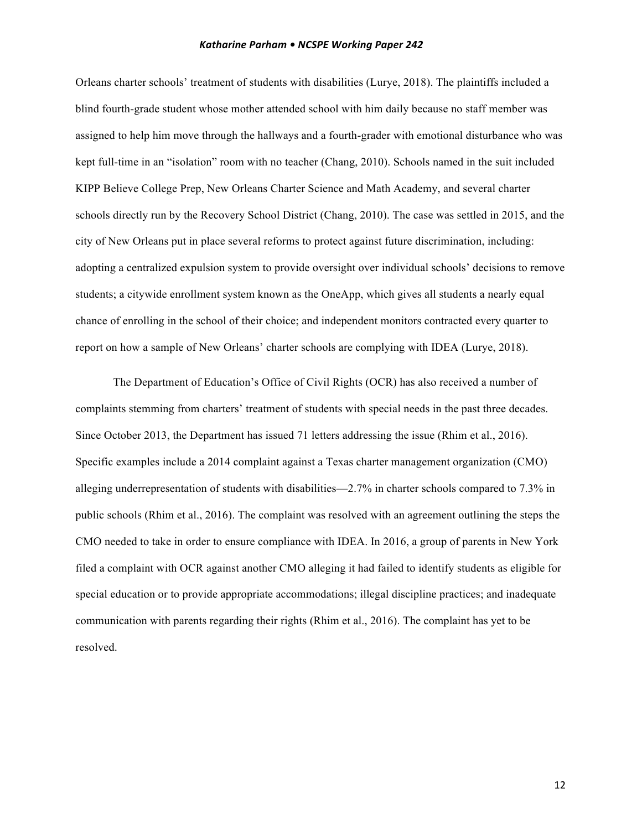Orleans charter schools' treatment of students with disabilities (Lurye, 2018). The plaintiffs included a blind fourth-grade student whose mother attended school with him daily because no staff member was assigned to help him move through the hallways and a fourth-grader with emotional disturbance who was kept full-time in an "isolation" room with no teacher (Chang, 2010). Schools named in the suit included KIPP Believe College Prep, New Orleans Charter Science and Math Academy, and several charter schools directly run by the Recovery School District (Chang, 2010). The case was settled in 2015, and the city of New Orleans put in place several reforms to protect against future discrimination, including: adopting a centralized expulsion system to provide oversight over individual schools' decisions to remove students; a citywide enrollment system known as the OneApp, which gives all students a nearly equal chance of enrolling in the school of their choice; and independent monitors contracted every quarter to report on how a sample of New Orleans' charter schools are complying with IDEA (Lurye, 2018).

The Department of Education's Office of Civil Rights (OCR) has also received a number of complaints stemming from charters' treatment of students with special needs in the past three decades. Since October 2013, the Department has issued 71 letters addressing the issue (Rhim et al., 2016). Specific examples include a 2014 complaint against a Texas charter management organization (CMO) alleging underrepresentation of students with disabilities—2.7% in charter schools compared to 7.3% in public schools (Rhim et al., 2016). The complaint was resolved with an agreement outlining the steps the CMO needed to take in order to ensure compliance with IDEA. In 2016, a group of parents in New York filed a complaint with OCR against another CMO alleging it had failed to identify students as eligible for special education or to provide appropriate accommodations; illegal discipline practices; and inadequate communication with parents regarding their rights (Rhim et al., 2016). The complaint has yet to be resolved.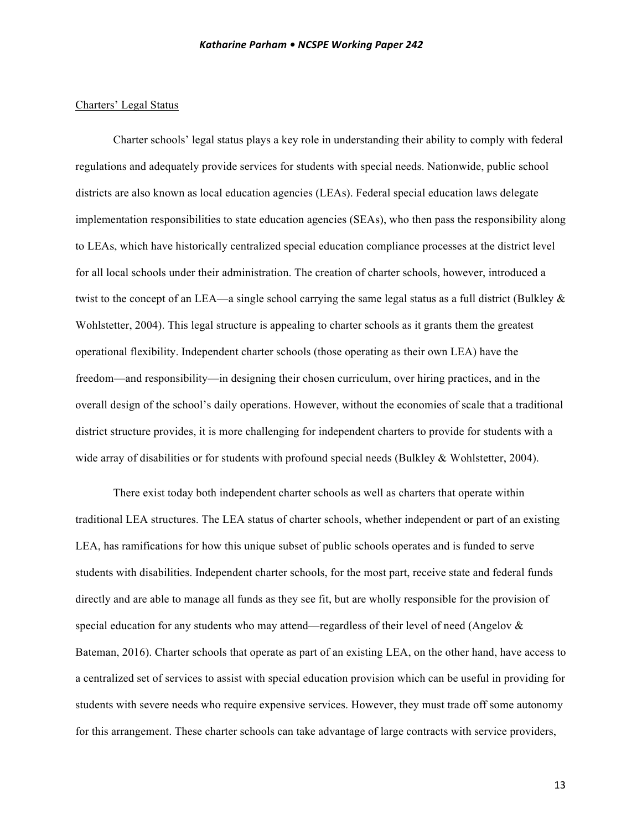# Charters' Legal Status

Charter schools' legal status plays a key role in understanding their ability to comply with federal regulations and adequately provide services for students with special needs. Nationwide, public school districts are also known as local education agencies (LEAs). Federal special education laws delegate implementation responsibilities to state education agencies (SEAs), who then pass the responsibility along to LEAs, which have historically centralized special education compliance processes at the district level for all local schools under their administration. The creation of charter schools, however, introduced a twist to the concept of an LEA—a single school carrying the same legal status as a full district (Bulkley  $\&$ Wohlstetter, 2004). This legal structure is appealing to charter schools as it grants them the greatest operational flexibility. Independent charter schools (those operating as their own LEA) have the freedom—and responsibility—in designing their chosen curriculum, over hiring practices, and in the overall design of the school's daily operations. However, without the economies of scale that a traditional district structure provides, it is more challenging for independent charters to provide for students with a wide array of disabilities or for students with profound special needs (Bulkley & Wohlstetter, 2004).

There exist today both independent charter schools as well as charters that operate within traditional LEA structures. The LEA status of charter schools, whether independent or part of an existing LEA, has ramifications for how this unique subset of public schools operates and is funded to serve students with disabilities. Independent charter schools, for the most part, receive state and federal funds directly and are able to manage all funds as they see fit, but are wholly responsible for the provision of special education for any students who may attend—regardless of their level of need (Angelov  $\&$ Bateman, 2016). Charter schools that operate as part of an existing LEA, on the other hand, have access to a centralized set of services to assist with special education provision which can be useful in providing for students with severe needs who require expensive services. However, they must trade off some autonomy for this arrangement. These charter schools can take advantage of large contracts with service providers,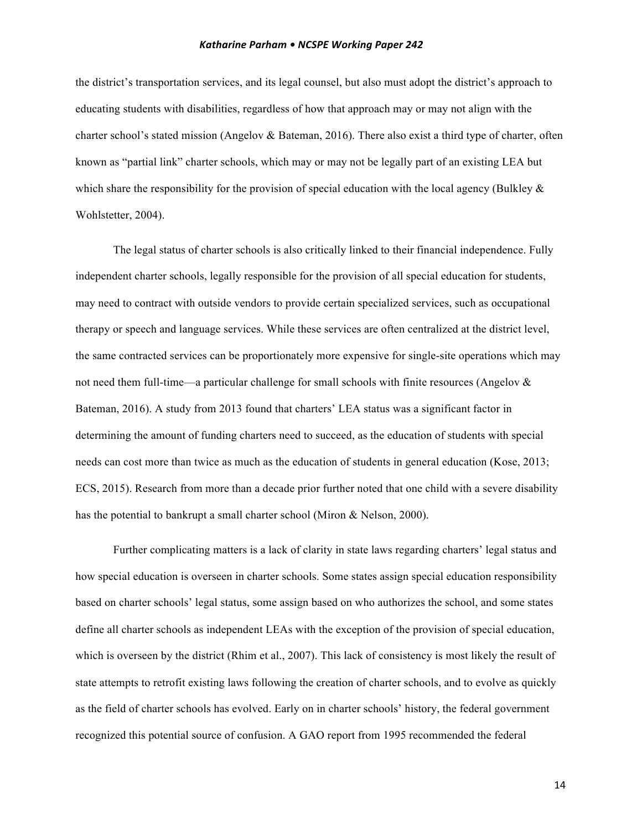the district's transportation services, and its legal counsel, but also must adopt the district's approach to educating students with disabilities, regardless of how that approach may or may not align with the charter school's stated mission (Angelov & Bateman, 2016). There also exist a third type of charter, often known as "partial link" charter schools, which may or may not be legally part of an existing LEA but which share the responsibility for the provision of special education with the local agency (Bulkley  $\&$ Wohlstetter, 2004).

The legal status of charter schools is also critically linked to their financial independence. Fully independent charter schools, legally responsible for the provision of all special education for students, may need to contract with outside vendors to provide certain specialized services, such as occupational therapy or speech and language services. While these services are often centralized at the district level, the same contracted services can be proportionately more expensive for single-site operations which may not need them full-time—a particular challenge for small schools with finite resources (Angelov & Bateman, 2016). A study from 2013 found that charters' LEA status was a significant factor in determining the amount of funding charters need to succeed, as the education of students with special needs can cost more than twice as much as the education of students in general education (Kose, 2013; ECS, 2015). Research from more than a decade prior further noted that one child with a severe disability has the potential to bankrupt a small charter school (Miron & Nelson, 2000).

Further complicating matters is a lack of clarity in state laws regarding charters' legal status and how special education is overseen in charter schools. Some states assign special education responsibility based on charter schools' legal status, some assign based on who authorizes the school, and some states define all charter schools as independent LEAs with the exception of the provision of special education, which is overseen by the district (Rhim et al., 2007). This lack of consistency is most likely the result of state attempts to retrofit existing laws following the creation of charter schools, and to evolve as quickly as the field of charter schools has evolved. Early on in charter schools' history, the federal government recognized this potential source of confusion. A GAO report from 1995 recommended the federal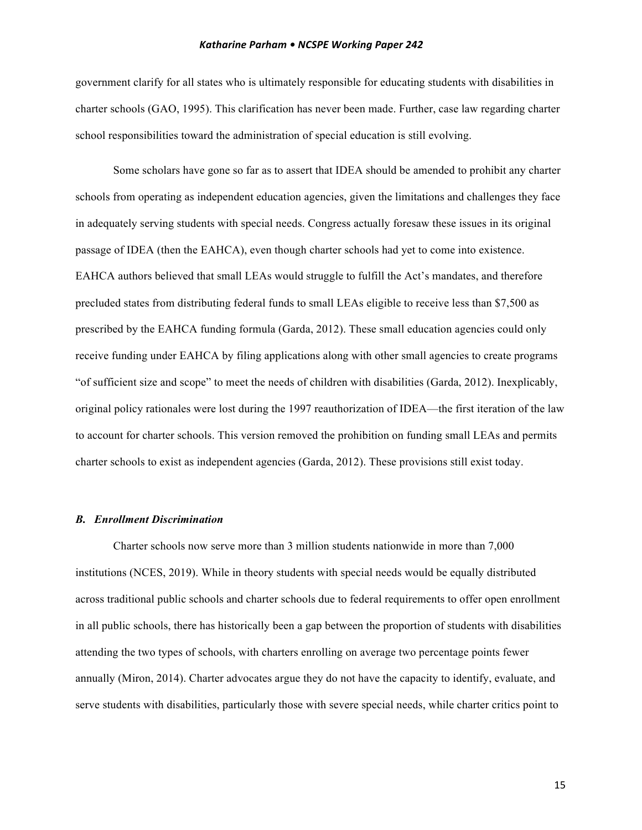government clarify for all states who is ultimately responsible for educating students with disabilities in charter schools (GAO, 1995). This clarification has never been made. Further, case law regarding charter school responsibilities toward the administration of special education is still evolving.

Some scholars have gone so far as to assert that IDEA should be amended to prohibit any charter schools from operating as independent education agencies, given the limitations and challenges they face in adequately serving students with special needs. Congress actually foresaw these issues in its original passage of IDEA (then the EAHCA), even though charter schools had yet to come into existence. EAHCA authors believed that small LEAs would struggle to fulfill the Act's mandates, and therefore precluded states from distributing federal funds to small LEAs eligible to receive less than \$7,500 as prescribed by the EAHCA funding formula (Garda, 2012). These small education agencies could only receive funding under EAHCA by filing applications along with other small agencies to create programs "of sufficient size and scope" to meet the needs of children with disabilities (Garda, 2012). Inexplicably, original policy rationales were lost during the 1997 reauthorization of IDEA—the first iteration of the law to account for charter schools. This version removed the prohibition on funding small LEAs and permits charter schools to exist as independent agencies (Garda, 2012). These provisions still exist today.

# *B. Enrollment Discrimination*

Charter schools now serve more than 3 million students nationwide in more than 7,000 institutions (NCES, 2019). While in theory students with special needs would be equally distributed across traditional public schools and charter schools due to federal requirements to offer open enrollment in all public schools, there has historically been a gap between the proportion of students with disabilities attending the two types of schools, with charters enrolling on average two percentage points fewer annually (Miron, 2014). Charter advocates argue they do not have the capacity to identify, evaluate, and serve students with disabilities, particularly those with severe special needs, while charter critics point to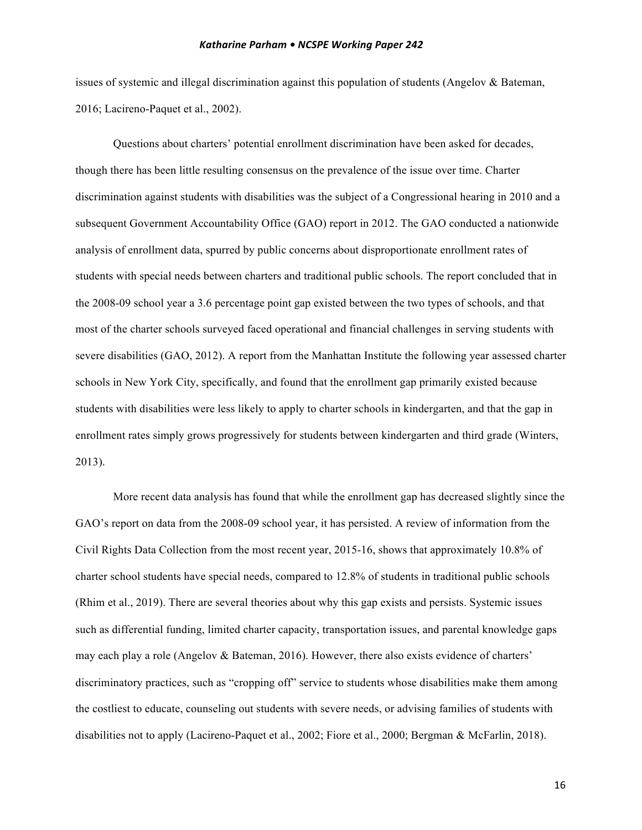issues of systemic and illegal discrimination against this population of students (Angelov & Bateman, 2016; Lacireno-Paquet et al., 2002).

Questions about charters' potential enrollment discrimination have been asked for decades, though there has been little resulting consensus on the prevalence of the issue over time. Charter discrimination against students with disabilities was the subject of a Congressional hearing in 2010 and a subsequent Government Accountability Office (GAO) report in 2012. The GAO conducted a nationwide analysis of enrollment data, spurred by public concerns about disproportionate enrollment rates of students with special needs between charters and traditional public schools. The report concluded that in the 2008-09 school year a 3.6 percentage point gap existed between the two types of schools, and that most of the charter schools surveyed faced operational and financial challenges in serving students with severe disabilities (GAO, 2012). A report from the Manhattan Institute the following year assessed charter schools in New York City, specifically, and found that the enrollment gap primarily existed because students with disabilities were less likely to apply to charter schools in kindergarten, and that the gap in enrollment rates simply grows progressively for students between kindergarten and third grade (Winters, 2013).

More recent data analysis has found that while the enrollment gap has decreased slightly since the GAO's report on data from the 2008-09 school year, it has persisted. A review of information from the Civil Rights Data Collection from the most recent year, 2015-16, shows that approximately 10.8% of charter school students have special needs, compared to 12.8% of students in traditional public schools (Rhim et al., 2019). There are several theories about why this gap exists and persists. Systemic issues such as differential funding, limited charter capacity, transportation issues, and parental knowledge gaps may each play a role (Angelov & Bateman, 2016). However, there also exists evidence of charters' discriminatory practices, such as "cropping off" service to students whose disabilities make them among the costliest to educate, counseling out students with severe needs, or advising families of students with disabilities not to apply (Lacireno-Paquet et al., 2002; Fiore et al., 2000; Bergman & McFarlin, 2018).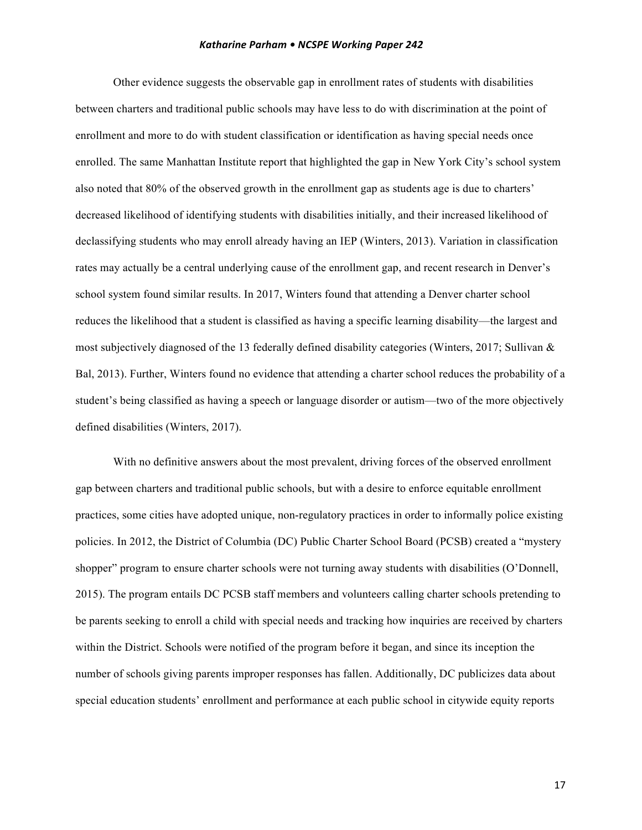Other evidence suggests the observable gap in enrollment rates of students with disabilities between charters and traditional public schools may have less to do with discrimination at the point of enrollment and more to do with student classification or identification as having special needs once enrolled. The same Manhattan Institute report that highlighted the gap in New York City's school system also noted that 80% of the observed growth in the enrollment gap as students age is due to charters' decreased likelihood of identifying students with disabilities initially, and their increased likelihood of declassifying students who may enroll already having an IEP (Winters, 2013). Variation in classification rates may actually be a central underlying cause of the enrollment gap, and recent research in Denver's school system found similar results. In 2017, Winters found that attending a Denver charter school reduces the likelihood that a student is classified as having a specific learning disability—the largest and most subjectively diagnosed of the 13 federally defined disability categories (Winters, 2017; Sullivan & Bal, 2013). Further, Winters found no evidence that attending a charter school reduces the probability of a student's being classified as having a speech or language disorder or autism—two of the more objectively defined disabilities (Winters, 2017).

With no definitive answers about the most prevalent, driving forces of the observed enrollment gap between charters and traditional public schools, but with a desire to enforce equitable enrollment practices, some cities have adopted unique, non-regulatory practices in order to informally police existing policies. In 2012, the District of Columbia (DC) Public Charter School Board (PCSB) created a "mystery shopper" program to ensure charter schools were not turning away students with disabilities (O'Donnell, 2015). The program entails DC PCSB staff members and volunteers calling charter schools pretending to be parents seeking to enroll a child with special needs and tracking how inquiries are received by charters within the District. Schools were notified of the program before it began, and since its inception the number of schools giving parents improper responses has fallen. Additionally, DC publicizes data about special education students' enrollment and performance at each public school in citywide equity reports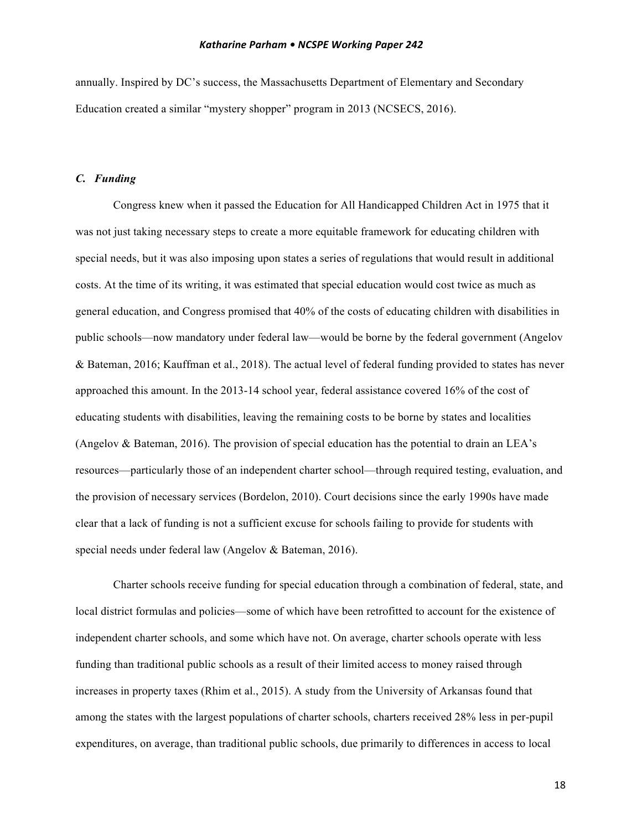annually. Inspired by DC's success, the Massachusetts Department of Elementary and Secondary Education created a similar "mystery shopper" program in 2013 (NCSECS, 2016).

# *C. Funding*

Congress knew when it passed the Education for All Handicapped Children Act in 1975 that it was not just taking necessary steps to create a more equitable framework for educating children with special needs, but it was also imposing upon states a series of regulations that would result in additional costs. At the time of its writing, it was estimated that special education would cost twice as much as general education, and Congress promised that 40% of the costs of educating children with disabilities in public schools—now mandatory under federal law—would be borne by the federal government (Angelov & Bateman, 2016; Kauffman et al., 2018). The actual level of federal funding provided to states has never approached this amount. In the 2013-14 school year, federal assistance covered 16% of the cost of educating students with disabilities, leaving the remaining costs to be borne by states and localities (Angelov & Bateman, 2016). The provision of special education has the potential to drain an LEA's resources—particularly those of an independent charter school—through required testing, evaluation, and the provision of necessary services (Bordelon, 2010). Court decisions since the early 1990s have made clear that a lack of funding is not a sufficient excuse for schools failing to provide for students with special needs under federal law (Angelov & Bateman, 2016).

Charter schools receive funding for special education through a combination of federal, state, and local district formulas and policies—some of which have been retrofitted to account for the existence of independent charter schools, and some which have not. On average, charter schools operate with less funding than traditional public schools as a result of their limited access to money raised through increases in property taxes (Rhim et al., 2015). A study from the University of Arkansas found that among the states with the largest populations of charter schools, charters received 28% less in per-pupil expenditures, on average, than traditional public schools, due primarily to differences in access to local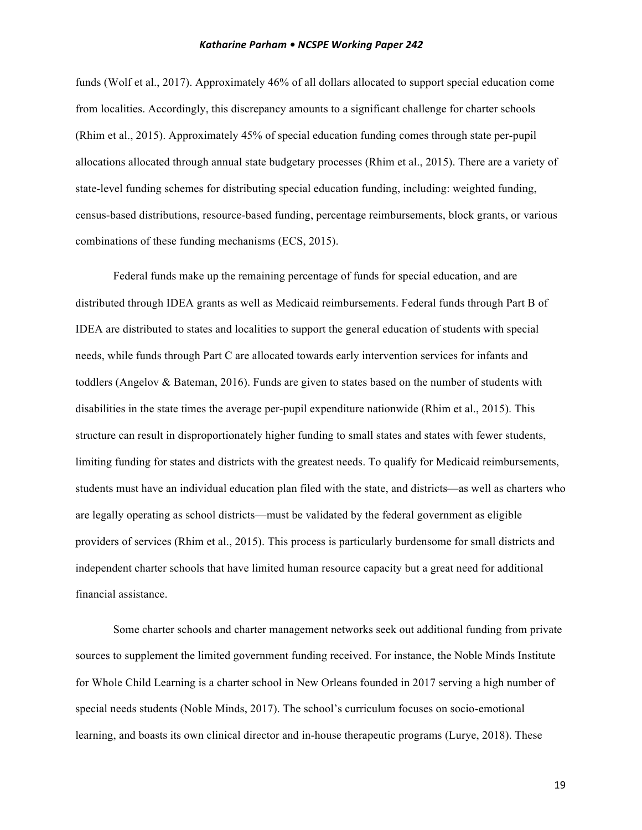funds (Wolf et al., 2017). Approximately 46% of all dollars allocated to support special education come from localities. Accordingly, this discrepancy amounts to a significant challenge for charter schools (Rhim et al., 2015). Approximately 45% of special education funding comes through state per-pupil allocations allocated through annual state budgetary processes (Rhim et al., 2015). There are a variety of state-level funding schemes for distributing special education funding, including: weighted funding, census-based distributions, resource-based funding, percentage reimbursements, block grants, or various combinations of these funding mechanisms (ECS, 2015).

Federal funds make up the remaining percentage of funds for special education, and are distributed through IDEA grants as well as Medicaid reimbursements. Federal funds through Part B of IDEA are distributed to states and localities to support the general education of students with special needs, while funds through Part C are allocated towards early intervention services for infants and toddlers (Angelov & Bateman, 2016). Funds are given to states based on the number of students with disabilities in the state times the average per-pupil expenditure nationwide (Rhim et al., 2015). This structure can result in disproportionately higher funding to small states and states with fewer students, limiting funding for states and districts with the greatest needs. To qualify for Medicaid reimbursements, students must have an individual education plan filed with the state, and districts—as well as charters who are legally operating as school districts—must be validated by the federal government as eligible providers of services (Rhim et al., 2015). This process is particularly burdensome for small districts and independent charter schools that have limited human resource capacity but a great need for additional financial assistance.

Some charter schools and charter management networks seek out additional funding from private sources to supplement the limited government funding received. For instance, the Noble Minds Institute for Whole Child Learning is a charter school in New Orleans founded in 2017 serving a high number of special needs students (Noble Minds, 2017). The school's curriculum focuses on socio-emotional learning, and boasts its own clinical director and in-house therapeutic programs (Lurye, 2018). These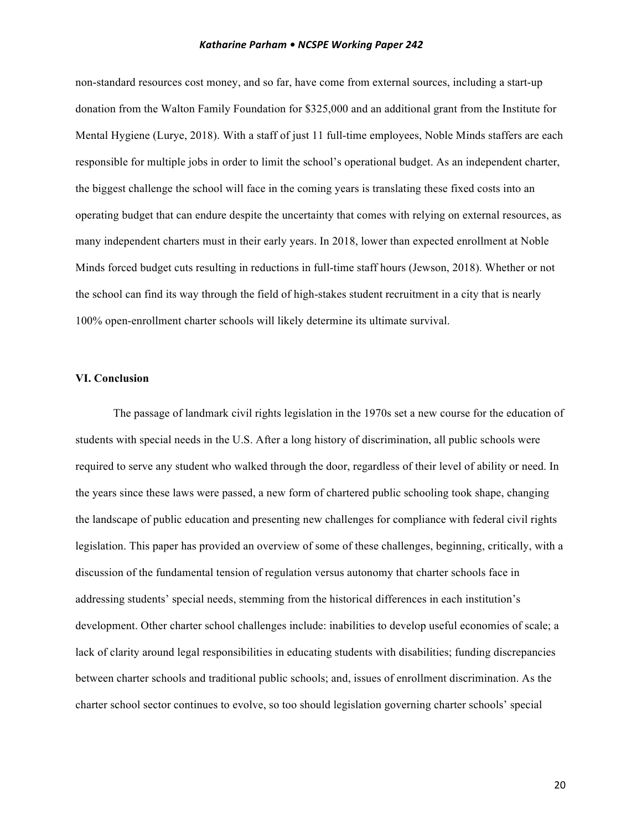non-standard resources cost money, and so far, have come from external sources, including a start-up donation from the Walton Family Foundation for \$325,000 and an additional grant from the Institute for Mental Hygiene (Lurye, 2018). With a staff of just 11 full-time employees, Noble Minds staffers are each responsible for multiple jobs in order to limit the school's operational budget. As an independent charter, the biggest challenge the school will face in the coming years is translating these fixed costs into an operating budget that can endure despite the uncertainty that comes with relying on external resources, as many independent charters must in their early years. In 2018, lower than expected enrollment at Noble Minds forced budget cuts resulting in reductions in full-time staff hours (Jewson, 2018). Whether or not the school can find its way through the field of high-stakes student recruitment in a city that is nearly 100% open-enrollment charter schools will likely determine its ultimate survival.

# **VI. Conclusion**

The passage of landmark civil rights legislation in the 1970s set a new course for the education of students with special needs in the U.S. After a long history of discrimination, all public schools were required to serve any student who walked through the door, regardless of their level of ability or need. In the years since these laws were passed, a new form of chartered public schooling took shape, changing the landscape of public education and presenting new challenges for compliance with federal civil rights legislation. This paper has provided an overview of some of these challenges, beginning, critically, with a discussion of the fundamental tension of regulation versus autonomy that charter schools face in addressing students' special needs, stemming from the historical differences in each institution's development. Other charter school challenges include: inabilities to develop useful economies of scale; a lack of clarity around legal responsibilities in educating students with disabilities; funding discrepancies between charter schools and traditional public schools; and, issues of enrollment discrimination. As the charter school sector continues to evolve, so too should legislation governing charter schools' special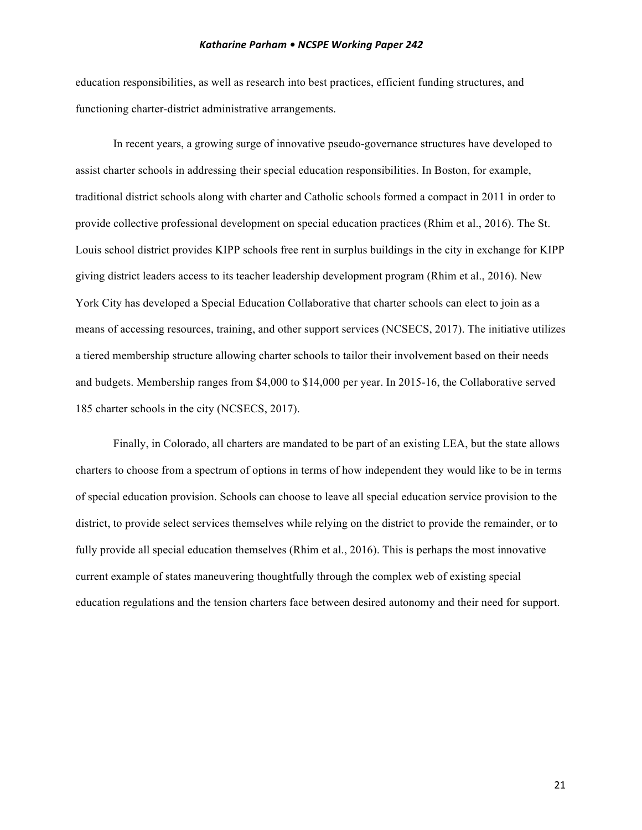education responsibilities, as well as research into best practices, efficient funding structures, and functioning charter-district administrative arrangements.

In recent years, a growing surge of innovative pseudo-governance structures have developed to assist charter schools in addressing their special education responsibilities. In Boston, for example, traditional district schools along with charter and Catholic schools formed a compact in 2011 in order to provide collective professional development on special education practices (Rhim et al., 2016). The St. Louis school district provides KIPP schools free rent in surplus buildings in the city in exchange for KIPP giving district leaders access to its teacher leadership development program (Rhim et al., 2016). New York City has developed a Special Education Collaborative that charter schools can elect to join as a means of accessing resources, training, and other support services (NCSECS, 2017). The initiative utilizes a tiered membership structure allowing charter schools to tailor their involvement based on their needs and budgets. Membership ranges from \$4,000 to \$14,000 per year. In 2015-16, the Collaborative served 185 charter schools in the city (NCSECS, 2017).

Finally, in Colorado, all charters are mandated to be part of an existing LEA, but the state allows charters to choose from a spectrum of options in terms of how independent they would like to be in terms of special education provision. Schools can choose to leave all special education service provision to the district, to provide select services themselves while relying on the district to provide the remainder, or to fully provide all special education themselves (Rhim et al., 2016). This is perhaps the most innovative current example of states maneuvering thoughtfully through the complex web of existing special education regulations and the tension charters face between desired autonomy and their need for support.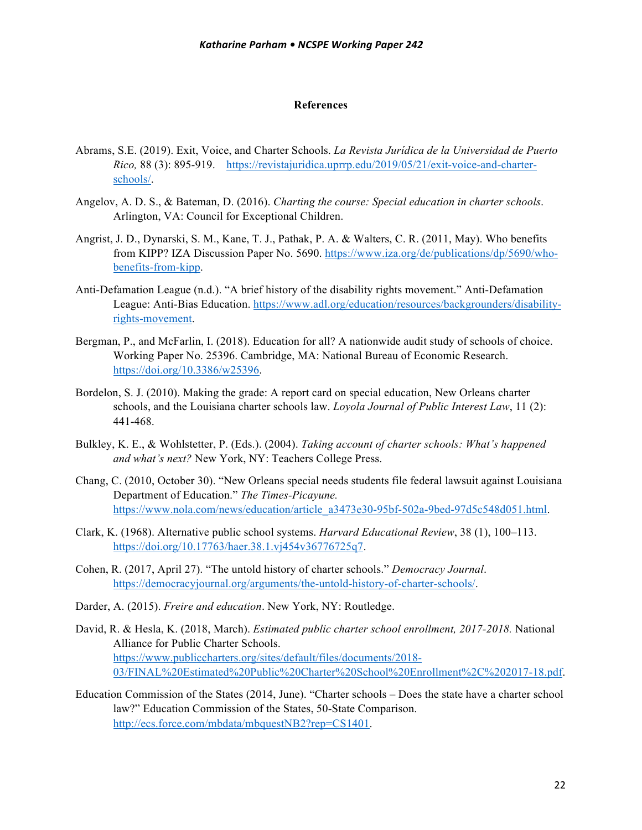#### **References**

- Abrams, S.E. (2019). Exit, Voice, and Charter Schools. *La Revista Jurídica de la Universidad de Puerto Rico,* 88 (3): 895-919. https://revistajuridica.uprrp.edu/2019/05/21/exit-voice-and-charterschools/.
- Angelov, A. D. S., & Bateman, D. (2016). *Charting the course: Special education in charter schools*. Arlington, VA: Council for Exceptional Children.
- Angrist, J. D., Dynarski, S. M., Kane, T. J., Pathak, P. A. & Walters, C. R. (2011, May). Who benefits from KIPP? IZA Discussion Paper No. 5690. https://www.iza.org/de/publications/dp/5690/whobenefits-from-kipp.
- Anti-Defamation League (n.d.). "A brief history of the disability rights movement." Anti-Defamation League: Anti-Bias Education. https://www.adl.org/education/resources/backgrounders/disabilityrights-movement.
- Bergman, P., and McFarlin, I. (2018). Education for all? A nationwide audit study of schools of choice. Working Paper No. 25396. Cambridge, MA: National Bureau of Economic Research. https://doi.org/10.3386/w25396.
- Bordelon, S. J. (2010). Making the grade: A report card on special education, New Orleans charter schools, and the Louisiana charter schools law. *Loyola Journal of Public Interest Law*, 11 (2): 441-468.
- Bulkley, K. E., & Wohlstetter, P. (Eds.). (2004). *Taking account of charter schools: What's happened and what's next?* New York, NY: Teachers College Press.
- Chang, C. (2010, October 30). "New Orleans special needs students file federal lawsuit against Louisiana Department of Education." *The Times-Picayune.* https://www.nola.com/news/education/article\_a3473e30-95bf-502a-9bed-97d5c548d051.html.
- Clark, K. (1968). Alternative public school systems. *Harvard Educational Review*, 38 (1), 100–113. https://doi.org/10.17763/haer.38.1.vj454v36776725q7.
- Cohen, R. (2017, April 27). "The untold history of charter schools." *Democracy Journal*. https://democracyjournal.org/arguments/the-untold-history-of-charter-schools/.
- Darder, A. (2015). *Freire and education*. New York, NY: Routledge.
- David, R. & Hesla, K. (2018, March). *Estimated public charter school enrollment, 2017-2018.* National Alliance for Public Charter Schools. https://www.publiccharters.org/sites/default/files/documents/2018- 03/FINAL%20Estimated%20Public%20Charter%20School%20Enrollment%2C%202017-18.pdf.
- Education Commission of the States (2014, June). "Charter schools Does the state have a charter school law?" Education Commission of the States, 50-State Comparison. http://ecs.force.com/mbdata/mbquestNB2?rep=CS1401.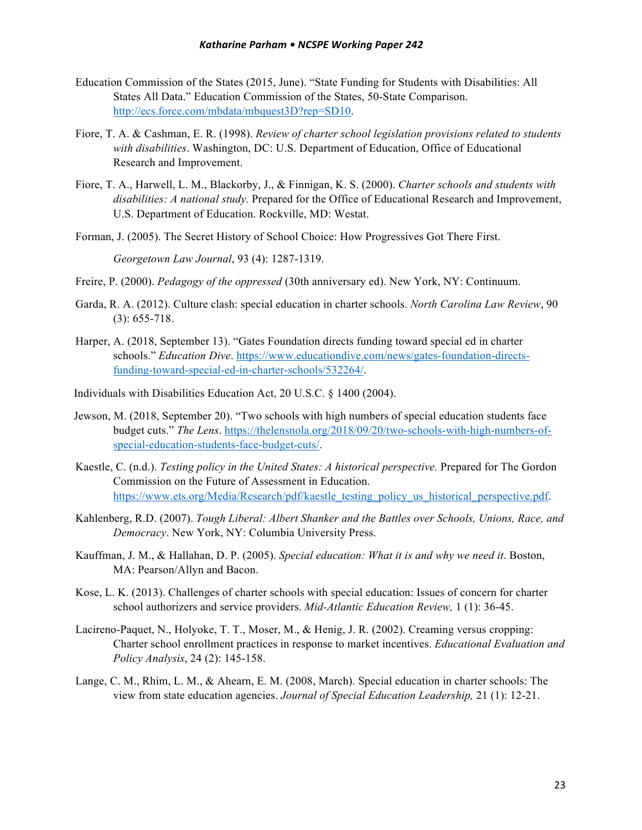- Education Commission of the States (2015, June). "State Funding for Students with Disabilities: All States All Data." Education Commission of the States, 50-State Comparison. http://ecs.force.com/mbdata/mbquest3D?rep=SD10.
- Fiore, T. A. & Cashman, E. R. (1998). *Review of charter school legislation provisions related to students with disabilities*. Washington, DC: U.S. Department of Education, Office of Educational Research and Improvement.
- Fiore, T. A., Harwell, L. M., Blackorby, J., & Finnigan, K. S. (2000). *Charter schools and students with disabilities: A national study.* Prepared for the Office of Educational Research and Improvement, U.S. Department of Education. Rockville, MD: Westat.
- Forman, J. (2005). The Secret History of School Choice: How Progressives Got There First.

*Georgetown Law Journal*, 93 (4): 1287-1319.

- Freire, P. (2000). *Pedagogy of the oppressed* (30th anniversary ed). New York, NY: Continuum.
- Garda, R. A. (2012). Culture clash: special education in charter schools. *North Carolina Law Review*, 90 (3): 655-718.
- Harper, A. (2018, September 13). "Gates Foundation directs funding toward special ed in charter schools." *Education Dive*. https://www.educationdive.com/news/gates-foundation-directsfunding-toward-special-ed-in-charter-schools/532264/.
- Individuals with Disabilities Education Act, 20 U.S.C. § 1400 (2004).
- Jewson, M. (2018, September 20). "Two schools with high numbers of special education students face budget cuts." *The Lens*. https://thelensnola.org/2018/09/20/two-schools-with-high-numbers-ofspecial-education-students-face-budget-cuts/.
- Kaestle, C. (n.d.). *Testing policy in the United States: A historical perspective.* Prepared for The Gordon Commission on the Future of Assessment in Education. https://www.ets.org/Media/Research/pdf/kaestle\_testing\_policy\_us\_historical\_perspective.pdf.
- Kahlenberg, R.D. (2007). *Tough Liberal: Albert Shanker and the Battles over Schools, Unions, Race, and Democracy*. New York, NY: Columbia University Press.
- Kauffman, J. M., & Hallahan, D. P. (2005). *Special education: What it is and why we need it*. Boston, MA: Pearson/Allyn and Bacon.
- Kose, L. K. (2013). Challenges of charter schools with special education: Issues of concern for charter school authorizers and service providers. *Mid-Atlantic Education Review,* 1 (1): 36-45.
- Lacireno-Paquet, N., Holyoke, T. T., Moser, M., & Henig, J. R. (2002). Creaming versus cropping: Charter school enrollment practices in response to market incentives. *Educational Evaluation and Policy Analysis*, 24 (2): 145-158.
- Lange, C. M., Rhim, L. M., & Ahearn, E. M. (2008, March). Special education in charter schools: The view from state education agencies. *Journal of Special Education Leadership,* 21 (1): 12-21.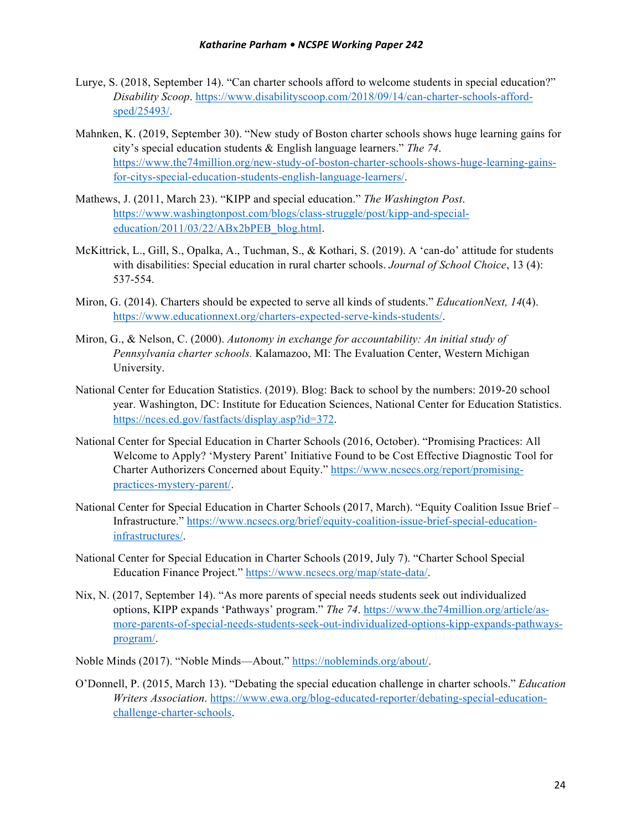- Lurye, S. (2018, September 14). "Can charter schools afford to welcome students in special education?" *Disability Scoop*. https://www.disabilityscoop.com/2018/09/14/can-charter-schools-affordsped/25493/.
- Mahnken, K. (2019, September 30). "New study of Boston charter schools shows huge learning gains for city's special education students & English language learners." *The 74*. https://www.the74million.org/new-study-of-boston-charter-schools-shows-huge-learning-gainsfor-citys-special-education-students-english-language-learners/.
- Mathews, J. (2011, March 23). "KIPP and special education." *The Washington Post*. https://www.washingtonpost.com/blogs/class-struggle/post/kipp-and-specialeducation/2011/03/22/ABx2bPEB\_blog.html.
- McKittrick, L., Gill, S., Opalka, A., Tuchman, S., & Kothari, S. (2019). A 'can-do' attitude for students with disabilities: Special education in rural charter schools. *Journal of School Choice*, 13 (4): 537-554.
- Miron, G. (2014). Charters should be expected to serve all kinds of students." *EducationNext, 14*(4). https://www.educationnext.org/charters-expected-serve-kinds-students/.
- Miron, G., & Nelson, C. (2000). *Autonomy in exchange for accountability: An initial study of Pennsylvania charter schools.* Kalamazoo, MI: The Evaluation Center, Western Michigan University.
- National Center for Education Statistics. (2019). Blog: Back to school by the numbers: 2019-20 school year. Washington, DC: Institute for Education Sciences, National Center for Education Statistics. https://nces.ed.gov/fastfacts/display.asp?id=372.
- National Center for Special Education in Charter Schools (2016, October). "Promising Practices: All Welcome to Apply? 'Mystery Parent' Initiative Found to be Cost Effective Diagnostic Tool for Charter Authorizers Concerned about Equity." https://www.ncsecs.org/report/promisingpractices-mystery-parent/.
- National Center for Special Education in Charter Schools (2017, March). "Equity Coalition Issue Brief Infrastructure." https://www.ncsecs.org/brief/equity-coalition-issue-brief-special-educationinfrastructures/.
- National Center for Special Education in Charter Schools (2019, July 7). "Charter School Special Education Finance Project." https://www.ncsecs.org/map/state-data/.
- Nix, N. (2017, September 14). "As more parents of special needs students seek out individualized options, KIPP expands 'Pathways' program." *The 74*. https://www.the74million.org/article/asmore-parents-of-special-needs-students-seek-out-individualized-options-kipp-expands-pathwaysprogram/.
- Noble Minds (2017). "Noble Minds—About." https://nobleminds.org/about/.
- O'Donnell, P. (2015, March 13). "Debating the special education challenge in charter schools." *Education Writers Association*. https://www.ewa.org/blog-educated-reporter/debating-special-educationchallenge-charter-schools.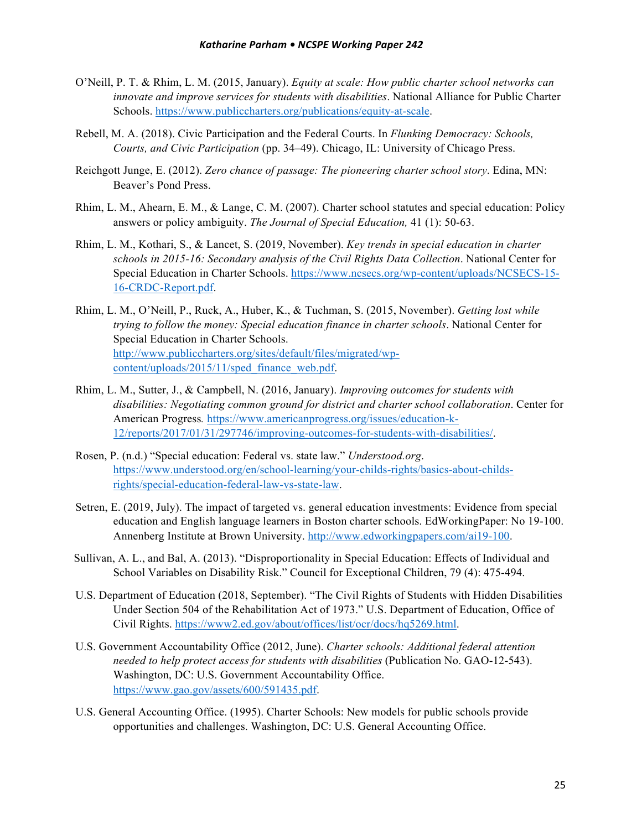- O'Neill, P. T. & Rhim, L. M. (2015, January). *Equity at scale: How public charter school networks can innovate and improve services for students with disabilities*. National Alliance for Public Charter Schools. https://www.publiccharters.org/publications/equity-at-scale.
- Rebell, M. A. (2018). Civic Participation and the Federal Courts. In *Flunking Democracy: Schools, Courts, and Civic Participation* (pp. 34–49). Chicago, IL: University of Chicago Press.
- Reichgott Junge, E. (2012). *Zero chance of passage: The pioneering charter school story*. Edina, MN: Beaver's Pond Press.
- Rhim, L. M., Ahearn, E. M., & Lange, C. M. (2007). Charter school statutes and special education: Policy answers or policy ambiguity. *The Journal of Special Education,* 41 (1): 50-63.
- Rhim, L. M., Kothari, S., & Lancet, S. (2019, November). *Key trends in special education in charter schools in 2015-16: Secondary analysis of the Civil Rights Data Collection*. National Center for Special Education in Charter Schools. https://www.ncsecs.org/wp-content/uploads/NCSECS-15- 16-CRDC-Report.pdf.
- Rhim, L. M., O'Neill, P., Ruck, A., Huber, K., & Tuchman, S. (2015, November). *Getting lost while trying to follow the money: Special education finance in charter schools*. National Center for Special Education in Charter Schools. http://www.publiccharters.org/sites/default/files/migrated/wpcontent/uploads/2015/11/sped\_finance\_web.pdf.
- Rhim, L. M., Sutter, J., & Campbell, N. (2016, January). *Improving outcomes for students with disabilities: Negotiating common ground for district and charter school collaboration*. Center for American Progress*.* https://www.americanprogress.org/issues/education-k-12/reports/2017/01/31/297746/improving-outcomes-for-students-with-disabilities/.
- Rosen, P. (n.d.) "Special education: Federal vs. state law." *Understood.org*. https://www.understood.org/en/school-learning/your-childs-rights/basics-about-childsrights/special-education-federal-law-vs-state-law.
- Setren, E. (2019, July). The impact of targeted vs. general education investments: Evidence from special education and English language learners in Boston charter schools. EdWorkingPaper: No 19-100. Annenberg Institute at Brown University. http://www.edworkingpapers.com/ai19-100.
- Sullivan, A. L., and Bal, A. (2013). "Disproportionality in Special Education: Effects of Individual and School Variables on Disability Risk." Council for Exceptional Children, 79 (4): 475-494.
- U.S. Department of Education (2018, September). "The Civil Rights of Students with Hidden Disabilities Under Section 504 of the Rehabilitation Act of 1973." U.S. Department of Education, Office of Civil Rights. https://www2.ed.gov/about/offices/list/ocr/docs/hq5269.html.
- U.S. Government Accountability Office (2012, June). *Charter schools: Additional federal attention needed to help protect access for students with disabilities* (Publication No. GAO-12-543). Washington, DC: U.S. Government Accountability Office. https://www.gao.gov/assets/600/591435.pdf.
- U.S. General Accounting Office. (1995). Charter Schools: New models for public schools provide opportunities and challenges. Washington, DC: U.S. General Accounting Office.